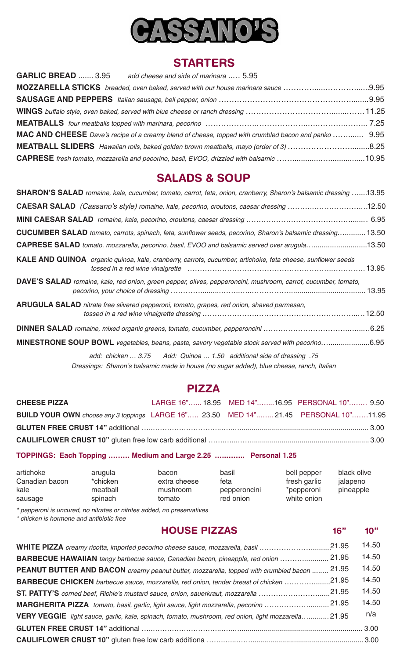

## **STARTERS**

| <b>GARLIC BREAD</b> 3.95 add cheese and side of marinara  5.95                                       |  |
|------------------------------------------------------------------------------------------------------|--|
|                                                                                                      |  |
|                                                                                                      |  |
|                                                                                                      |  |
|                                                                                                      |  |
| MAC AND CHEESE Dave's recipe of a creamy blend of cheese, topped with crumbled bacon and panko  9.95 |  |
| MEATBALL SLIDERS Hawaiian rolls, baked golden brown meatballs, mayo (order of 3) 8.25                |  |
|                                                                                                      |  |

# **SALADS & SOUP**

| <b>SHARON'S SALAD</b> romaine, kale, cucumber, tomato, carrot, feta, onion, cranberry, Sharon's balsamic dressing 13.95                                          |
|------------------------------------------------------------------------------------------------------------------------------------------------------------------|
| CAESAR SALAD (Cassano's style) romaine, kale, pecorino, croutons, caesar dressing 12.50                                                                          |
|                                                                                                                                                                  |
| CUCUMBER SALAD tomato, carrots, spinach, feta, sunflower seeds, pecorino, Sharon's balsamic dressing 13.50                                                       |
| <b>CAPRESE SALAD</b> tomato, mozzarella, pecorino, basil, EVOO and balsamic served over arugula13.50                                                             |
| <b>KALE AND QUINOA</b> organic quinoa, kale, cranberry, carrots, cucumber, artichoke, feta cheese, sunflower seeds                                               |
| DAVE'S SALAD romaine, kale, red onion, green pepper, olives, pepperoncini, mushroom, carrot, cucumber, tomato,                                                   |
| <b>ARUGULA SALAD</b> nitrate free slivered pepperoni, tomato, grapes, red onion, shaved parmesan,                                                                |
|                                                                                                                                                                  |
| MINESTRONE SOUP BOWL vegetables, beans, pasta, savory vegetable stock served with pecorino6.95                                                                   |
| add: chicken  3.75 Add: Quinoa  1.50 additional side of dressing .75<br>Dressings: Sharon's balsamic made in house (no sugar added), blue cheese, ranch, Italian |

## **PIZZA**

| <b>CHEESE PIZZA</b>                                                                  |  | LARGE 16" 18.95 MED 14" 16.95 PERSONAL 10" 9.50 |
|--------------------------------------------------------------------------------------|--|-------------------------------------------------|
| BUILD YOUR OWN choose any 3 toppings LARGE 16" 23.50 MED 14" 21.45 PERSONAL 10"11.95 |  |                                                 |
|                                                                                      |  |                                                 |
|                                                                                      |  |                                                 |

#### **TOPPINGS: Each Topping ……… Medium and Large 2.25 .….…….. Personal 1.25**

| artichoke<br>basil<br>arugula<br>bacon<br>*chicken<br>Canadian bacon<br>extra cheese<br>feta<br>meatball<br>kale<br>mushroom<br>pepperoncini<br>red onion<br>spinach<br>tomato<br>sausage | bell pepper<br>fresh garlic<br>*pepperoni<br>white onion | black olive<br>jalapeno<br>pineapple |
|-------------------------------------------------------------------------------------------------------------------------------------------------------------------------------------------|----------------------------------------------------------|--------------------------------------|
|-------------------------------------------------------------------------------------------------------------------------------------------------------------------------------------------|----------------------------------------------------------|--------------------------------------|

*\* pepperoni is uncured, no nitrates or nitrites added, no preservatives*

*\* chicken is hormone and antibiotic free*

### **HOUSE PIZZAS 16" 10"**

| <b>WHITE PIZZA</b> creamy ricotta, imported pecorino cheese sauce, mozzarella, basil                | 21.95 | 14.50 |
|-----------------------------------------------------------------------------------------------------|-------|-------|
| BARBECUE HAWAIIAN tangy barbecue sauce, Canadian bacon, pineapple, red onion                        | 21.95 | 14.50 |
| PEANUT BUTTER AND BACON creamy peanut butter, mozzarella, topped with crumbled bacon                | 21.95 | 14.50 |
| <b>BARBECUE CHICKEN</b> barbecue sauce, mozzarella, red onion, tender breast of chicken             | 21.95 | 14.50 |
| ST. PATTY'S corned beef, Richie's mustard sauce, onion, sauerkraut, mozzarella 21.95                |       | 14.50 |
| MARGHERITA PIZZA tomato, basil, garlic, light sauce, light mozzarella, pecorino 21.95               |       | 14.50 |
| VERY VEGGIE light sauce, garlic, kale, spinach, tomato, mushroom, red onion, light mozzarella 21.95 |       | n/a   |
|                                                                                                     |       |       |
|                                                                                                     |       |       |